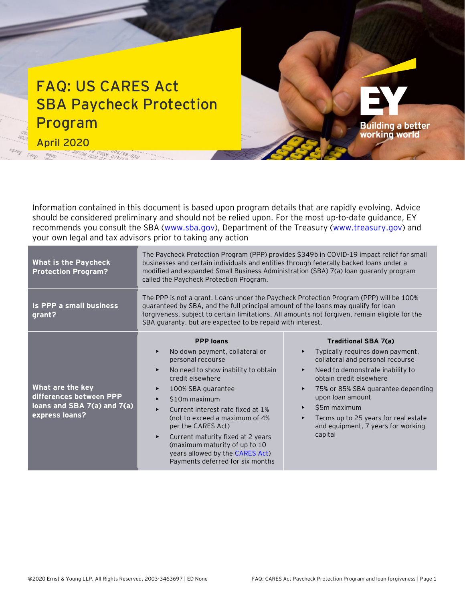## **FAQ: US CARES Act SBA Paycheck Protection Program April 2020**

VOOR AVAD AD ACTOR NOTES

Information contained in this document is based upon program details that are rapidly evolving. Advice should be considered preliminary and should not be relied upon. For the most up-to-date guidance, EY recommends you consult the SBA [\(www.sba.g](http://www.sba./)ov), Department of the Treasury [\(www.treasury.gov\)](http://www.treasury.gov/) and your own legal and tax advisors prior to taking any action

| <b>What is the Paycheck</b><br><b>Protection Program?</b>                                    | businesses and certain individuals and entities through federally backed loans under a<br>modified and expanded Small Business Administration (SBA) 7(a) loan guaranty program<br>called the Paycheck Protection Program.                                                                                                                                                                                                                                                                  | The Paycheck Protection Program (PPP) provides \$349b in COVID-19 impact relief for small                                                                                                                                                                                                                                                                 |
|----------------------------------------------------------------------------------------------|--------------------------------------------------------------------------------------------------------------------------------------------------------------------------------------------------------------------------------------------------------------------------------------------------------------------------------------------------------------------------------------------------------------------------------------------------------------------------------------------|-----------------------------------------------------------------------------------------------------------------------------------------------------------------------------------------------------------------------------------------------------------------------------------------------------------------------------------------------------------|
| Is PPP a small business<br>grant?                                                            | The PPP is not a grant. Loans under the Paycheck Protection Program (PPP) will be 100%<br>guaranteed by SBA, and the full principal amount of the loans may qualify for loan<br>forgiveness, subject to certain limitations. All amounts not forgiven, remain eligible for the<br>SBA guaranty, but are expected to be repaid with interest.                                                                                                                                               |                                                                                                                                                                                                                                                                                                                                                           |
| What are the key<br>differences between PPP<br>loans and SBA 7(a) and 7(a)<br>express loans? | <b>PPP</b> loans<br>No down payment, collateral or<br>▶<br>personal recourse<br>No need to show inability to obtain<br>$\blacktriangleright$<br>credit elsewhere<br>100% SBA guarantee<br>▶<br>\$10m maximum<br>▶<br>Current interest rate fixed at 1%<br>▶<br>(not to exceed a maximum of 4%)<br>per the CARES Act)<br>Current maturity fixed at 2 years<br>$\blacktriangleright$<br>(maximum maturity of up to 10<br>years allowed by the CARES Act)<br>Payments deferred for six months | <b>Traditional SBA 7(a)</b><br>Typically requires down payment,<br>collateral and personal recourse<br>Need to demonstrate inability to<br>▶<br>obtain credit elsewhere<br>75% or 85% SBA guarantee depending<br>▶<br>upon loan amount<br>\$5m maximum<br>▶<br>Terms up to 25 years for real estate<br>▶<br>and equipment, 7 years for working<br>capital |

**Building a better** working world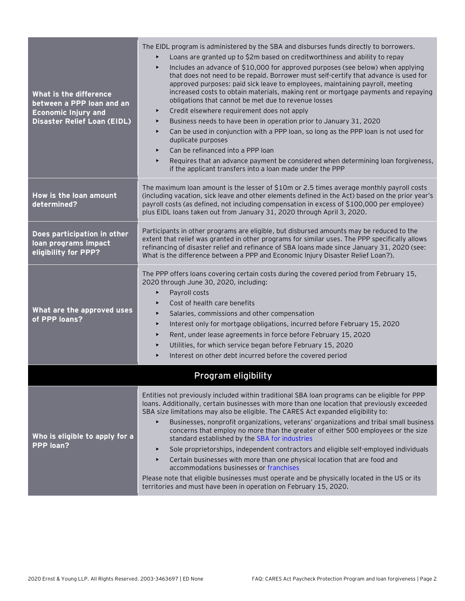| What is the difference<br>between a PPP loan and an<br><b>Economic Injury and</b><br><b>Disaster Relief Loan (EIDL)</b> | The EIDL program is administered by the SBA and disburses funds directly to borrowers.<br>Loans are granted up to \$2m based on creditworthiness and ability to repay<br>Includes an advance of \$10,000 for approved purposes (see below) when applying<br>▶<br>that does not need to be repaid. Borrower must self-certify that advance is used for<br>approved purposes: paid sick leave to employees, maintaining payroll, meeting<br>increased costs to obtain materials, making rent or mortgage payments and repaying<br>obligations that cannot be met due to revenue losses<br>Credit elsewhere requirement does not apply<br>▶<br>Business needs to have been in operation prior to January 31, 2020<br>Can be used in conjunction with a PPP loan, so long as the PPP loan is not used for<br>▶<br>duplicate purposes<br>Can be refinanced into a PPP loan<br>▶<br>Requires that an advance payment be considered when determining loan forgiveness,<br>Þ<br>if the applicant transfers into a loan made under the PPP |  |
|-------------------------------------------------------------------------------------------------------------------------|-----------------------------------------------------------------------------------------------------------------------------------------------------------------------------------------------------------------------------------------------------------------------------------------------------------------------------------------------------------------------------------------------------------------------------------------------------------------------------------------------------------------------------------------------------------------------------------------------------------------------------------------------------------------------------------------------------------------------------------------------------------------------------------------------------------------------------------------------------------------------------------------------------------------------------------------------------------------------------------------------------------------------------------|--|
| How is the loan amount<br>determined?                                                                                   | The maximum loan amount is the lesser of \$10m or 2.5 times average monthly payroll costs<br>(including vacation, sick leave and other elements defined in the Act) based on the prior year's<br>payroll costs (as defined, not including compensation in excess of \$100,000 per employee)<br>plus EIDL loans taken out from January 31, 2020 through April 3, 2020.                                                                                                                                                                                                                                                                                                                                                                                                                                                                                                                                                                                                                                                             |  |
| Does participation in other<br>loan programs impact<br>eligibility for PPP?                                             | Participants in other programs are eligible, but disbursed amounts may be reduced to the<br>extent that relief was granted in other programs for similar uses. The PPP specifically allows<br>refinancing of disaster relief and refinance of SBA loans made since January 31, 2020 (see:<br>What is the difference between a PPP and Economic Injury Disaster Relief Loan?).                                                                                                                                                                                                                                                                                                                                                                                                                                                                                                                                                                                                                                                     |  |
| What are the approved uses<br>of PPP loans?                                                                             | The PPP offers loans covering certain costs during the covered period from February 15,<br>2020 through June 30, 2020, including:<br>Payroll costs<br>▶<br>Cost of health care benefits<br>Þ<br>Salaries, commissions and other compensation<br>▶<br>Interest only for mortgage obligations, incurred before February 15, 2020<br>▶<br>Rent, under lease agreements in force before February 15, 2020<br>▶<br>Utilities, for which service began before February 15, 2020<br>Þ<br>Interest on other debt incurred before the covered period                                                                                                                                                                                                                                                                                                                                                                                                                                                                                       |  |
|                                                                                                                         | Program eligibility                                                                                                                                                                                                                                                                                                                                                                                                                                                                                                                                                                                                                                                                                                                                                                                                                                                                                                                                                                                                               |  |
| Who is eligible to apply for a<br>PPP loan?                                                                             | Entities not previously included within traditional SBA loan programs can be eligible for PPP<br>loans. Additionally, certain businesses with more than one location that previously exceeded<br>SBA size limitations may also be eligible. The CARES Act expanded eligibility to:<br>Businesses, nonprofit organizations, veterans' organizations and tribal small business<br>▶<br>concerns that employ no more than the greater of either 500 employees or the size<br>standard established by the SBA for industries<br>Sole proprietorships, independent contractors and eligible self-employed individuals<br>$\blacktriangleright$<br>Certain businesses with more than one physical location that are food and<br>▶<br>accommodations businesses or franchises<br>Please note that eligible businesses must operate and be physically located in the US or its<br>territories and must have been in operation on February 15, 2020.                                                                                       |  |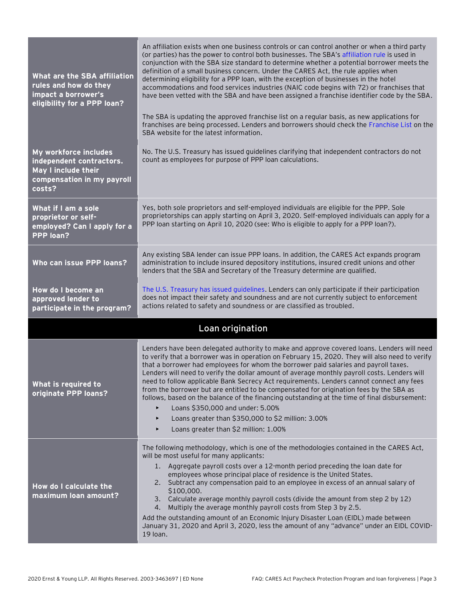| What are the SBA affiliation<br>rules and how do they<br>impact a borrower's<br>eligibility for a PPP loan?      | An affiliation exists when one business controls or can control another or when a third party<br>(or parties) has the power to control both businesses. The SBA's affiliation rule is used in<br>conjunction with the SBA size standard to determine whether a potential borrower meets the<br>definition of a small business concern. Under the CARES Act, the rule applies when<br>determining eligibility for a PPP loan, with the exception of businesses in the hotel<br>accommodations and food services industries (NAIC code begins with 72) or franchises that<br>have been vetted with the SBA and have been assigned a franchise identifier code by the SBA.<br>The SBA is updating the approved franchise list on a regular basis, as new applications for<br>franchises are being processed. Lenders and borrowers should check the Franchise List on the<br>SBA website for the latest information. |
|------------------------------------------------------------------------------------------------------------------|-------------------------------------------------------------------------------------------------------------------------------------------------------------------------------------------------------------------------------------------------------------------------------------------------------------------------------------------------------------------------------------------------------------------------------------------------------------------------------------------------------------------------------------------------------------------------------------------------------------------------------------------------------------------------------------------------------------------------------------------------------------------------------------------------------------------------------------------------------------------------------------------------------------------|
| My workforce includes<br>independent contractors.<br>May I include their<br>compensation in my payroll<br>costs? | No. The U.S. Treasury has issued guidelines clarifying that independent contractors do not<br>count as employees for purpose of PPP loan calculations.                                                                                                                                                                                                                                                                                                                                                                                                                                                                                                                                                                                                                                                                                                                                                            |
| What if I am a sole<br>proprietor or self-<br>employed? Can I apply for a<br>PPP loan?                           | Yes, both sole proprietors and self-employed individuals are eligible for the PPP. Sole<br>proprietorships can apply starting on April 3, 2020. Self-employed individuals can apply for a<br>PPP loan starting on April 10, 2020 (see: Who is eligible to apply for a PPP loan?).                                                                                                                                                                                                                                                                                                                                                                                                                                                                                                                                                                                                                                 |
| Who can issue PPP loans?                                                                                         | Any existing SBA lender can issue PPP loans. In addition, the CARES Act expands program<br>administration to include insured depository institutions, insured credit unions and other<br>lenders that the SBA and Secretary of the Treasury determine are qualified.                                                                                                                                                                                                                                                                                                                                                                                                                                                                                                                                                                                                                                              |
| How do I become an<br>approved lender to<br>participate in the program?                                          | The U.S. Treasury has issued guidelines. Lenders can only participate if their participation<br>does not impact their safety and soundness and are not currently subject to enforcement<br>actions related to safety and soundness or are classified as troubled.                                                                                                                                                                                                                                                                                                                                                                                                                                                                                                                                                                                                                                                 |
|                                                                                                                  | Loan origination                                                                                                                                                                                                                                                                                                                                                                                                                                                                                                                                                                                                                                                                                                                                                                                                                                                                                                  |
| What is required to<br>originate PPP loans?                                                                      | Lenders have been delegated authority to make and approve covered loans. Lenders will need<br>to verify that a borrower was in operation on February 15, 2020. They will also need to verify<br>that a borrower had employees for whom the borrower paid salaries and payroll taxes.<br>Lenders will need to verify the dollar amount of average monthly payroll costs. Lenders will<br>need to follow applicable Bank Secrecy Act requirements. Lenders cannot connect any fees<br>from the borrower but are entitled to be compensated for origination fees by the SBA as<br>follows, based on the balance of the financing outstanding at the time of final disbursement:<br>Loans \$350,000 and under: 5.00%<br>Loans greater than \$350,000 to \$2 million: 3.00%<br>Loans greater than \$2 million: 1.00%                                                                                                   |
| How do I calculate the<br>maximum loan amount?                                                                   | The following methodology, which is one of the methodologies contained in the CARES Act,<br>will be most useful for many applicants:<br>1. Aggregate payroll costs over a 12-month period preceding the loan date for<br>employees whose principal place of residence is the United States.<br>Subtract any compensation paid to an employee in excess of an annual salary of<br>2.<br>\$100,000.<br>3. Calculate average monthly payroll costs (divide the amount from step 2 by 12)<br>Multiply the average monthly payroll costs from Step 3 by 2.5.<br>4.<br>Add the outstanding amount of an Economic Injury Disaster Loan (EIDL) made between<br>January 31, 2020 and April 3, 2020, less the amount of any "advance" under an EIDL COVID-<br>19 Ioan.                                                                                                                                                      |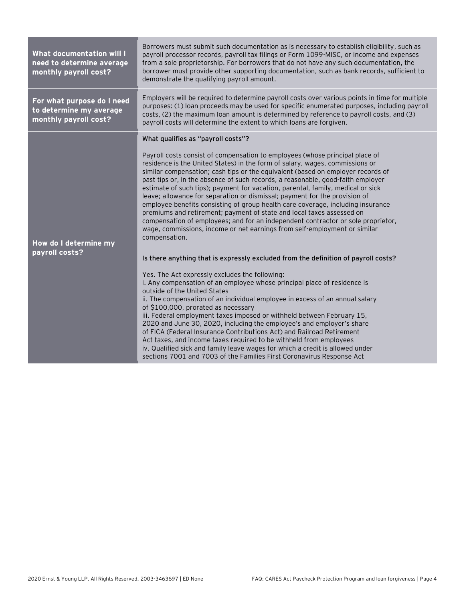| What documentation will I<br>need to determine average<br>monthly payroll cost? | Borrowers must submit such documentation as is necessary to establish eligibility, such as<br>payroll processor records, payroll tax filings or Form 1099-MISC, or income and expenses<br>from a sole proprietorship. For borrowers that do not have any such documentation, the<br>borrower must provide other supporting documentation, such as bank records, sufficient to<br>demonstrate the qualifying payroll amount.                                                                                                                                                                                                                                                                                                                                                                                                                                                                                                                                                                                                                                                                                                                                                                                                                                                                                                                                                                                                                                                                                                                                                                                                                                                                                                    |
|---------------------------------------------------------------------------------|--------------------------------------------------------------------------------------------------------------------------------------------------------------------------------------------------------------------------------------------------------------------------------------------------------------------------------------------------------------------------------------------------------------------------------------------------------------------------------------------------------------------------------------------------------------------------------------------------------------------------------------------------------------------------------------------------------------------------------------------------------------------------------------------------------------------------------------------------------------------------------------------------------------------------------------------------------------------------------------------------------------------------------------------------------------------------------------------------------------------------------------------------------------------------------------------------------------------------------------------------------------------------------------------------------------------------------------------------------------------------------------------------------------------------------------------------------------------------------------------------------------------------------------------------------------------------------------------------------------------------------------------------------------------------------------------------------------------------------|
| For what purpose do I need<br>to determine my average<br>monthly payroll cost?  | Employers will be required to determine payroll costs over various points in time for multiple<br>purposes: (1) loan proceeds may be used for specific enumerated purposes, including payroll<br>costs, (2) the maximum loan amount is determined by reference to payroll costs, and (3)<br>payroll costs will determine the extent to which loans are forgiven.                                                                                                                                                                                                                                                                                                                                                                                                                                                                                                                                                                                                                                                                                                                                                                                                                                                                                                                                                                                                                                                                                                                                                                                                                                                                                                                                                               |
| How do I determine my<br>payroll costs?                                         | What qualifies as "payroll costs"?<br>Payroll costs consist of compensation to employees (whose principal place of<br>residence is the United States) in the form of salary, wages, commissions or<br>similar compensation; cash tips or the equivalent (based on employer records of<br>past tips or, in the absence of such records, a reasonable, good-faith employer<br>estimate of such tips); payment for vacation, parental, family, medical or sick<br>leave; allowance for separation or dismissal; payment for the provision of<br>employee benefits consisting of group health care coverage, including insurance<br>premiums and retirement; payment of state and local taxes assessed on<br>compensation of employees; and for an independent contractor or sole proprietor,<br>wage, commissions, income or net earnings from self-employment or similar<br>compensation.<br>Is there anything that is expressly excluded from the definition of payroll costs?<br>Yes. The Act expressly excludes the following:<br>i. Any compensation of an employee whose principal place of residence is<br>outside of the United States<br>ii. The compensation of an individual employee in excess of an annual salary<br>of \$100,000, prorated as necessary<br>iii. Federal employment taxes imposed or withheld between February 15,<br>2020 and June 30, 2020, including the employee's and employer's share<br>of FICA (Federal Insurance Contributions Act) and Railroad Retirement<br>Act taxes, and income taxes required to be withheld from employees<br>iv. Qualified sick and family leave wages for which a credit is allowed under<br>sections 7001 and 7003 of the Families First Coronavirus Response Act |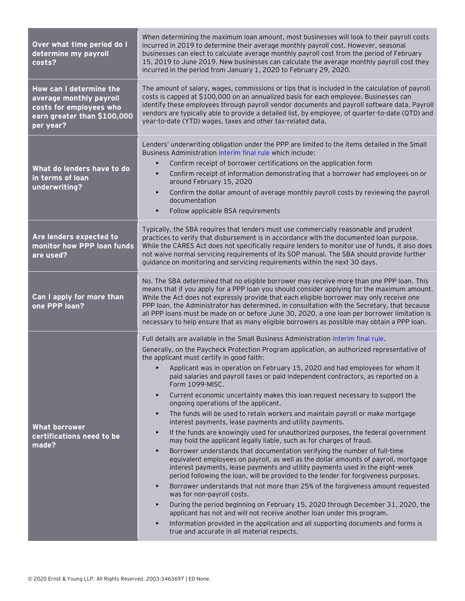| Over what time period do I<br>determine my payroll<br>costs?                                                              | When determining the maximum loan amount, most businesses will look to their payroll costs<br>incurred in 2019 to determine their average monthly payroll cost. However, seasonal<br>businesses can elect to calculate average monthly payroll cost from the period of February<br>15, 2019 to June 2019. New businesses can calculate the average monthly payroll cost they<br>incurred in the period from January 1, 2020 to February 29, 2020.                                                                                                                                                                                                                                                                                                                                                                                                                                                                                                                                                                                                                                                                                                                                                                                                                                                                                                                                                                                                                                                                                                                                                                                                                                                                                                                                                        |
|---------------------------------------------------------------------------------------------------------------------------|----------------------------------------------------------------------------------------------------------------------------------------------------------------------------------------------------------------------------------------------------------------------------------------------------------------------------------------------------------------------------------------------------------------------------------------------------------------------------------------------------------------------------------------------------------------------------------------------------------------------------------------------------------------------------------------------------------------------------------------------------------------------------------------------------------------------------------------------------------------------------------------------------------------------------------------------------------------------------------------------------------------------------------------------------------------------------------------------------------------------------------------------------------------------------------------------------------------------------------------------------------------------------------------------------------------------------------------------------------------------------------------------------------------------------------------------------------------------------------------------------------------------------------------------------------------------------------------------------------------------------------------------------------------------------------------------------------------------------------------------------------------------------------------------------------|
| How can I determine the<br>average monthly payroll<br>costs for employees who<br>earn greater than \$100,000<br>per year? | The amount of salary, wages, commissions or tips that is included in the calculation of payroll<br>costs is capped at \$100,000 on an annualized basis for each employee. Businesses can<br>identify these employees through payroll vendor documents and payroll software data. Payroll<br>vendors are typically able to provide a detailed list, by employee, of quarter-to-date (QTD) and<br>year-to-date (YTD) wages, taxes and other tax-related data.                                                                                                                                                                                                                                                                                                                                                                                                                                                                                                                                                                                                                                                                                                                                                                                                                                                                                                                                                                                                                                                                                                                                                                                                                                                                                                                                              |
| What do lenders have to do<br>in terms of loan<br>underwriting?                                                           | Lenders' underwriting obligation under the PPP are limited to the items detailed in the Small<br>Business Administration interim final rule which include:<br>Confirm receipt of borrower certifications on the application form<br>Confirm receipt of information demonstrating that a borrower had employees on or<br>$\blacktriangleright$<br>around February 15, 2020<br>Confirm the dollar amount of average monthly payroll costs by reviewing the payroll<br>$\blacktriangleright$<br>documentation<br>Follow applicable BSA requirements<br>$\blacktriangleright$                                                                                                                                                                                                                                                                                                                                                                                                                                                                                                                                                                                                                                                                                                                                                                                                                                                                                                                                                                                                                                                                                                                                                                                                                                |
| Are lenders expected to<br>monitor how PPP loan funds<br>are used?                                                        | Typically, the SBA requires that lenders must use commercially reasonable and prudent<br>practices to verify that disbursement is in accordance with the documented loan purpose.<br>While the CARES Act does not specifically require lenders to monitor use of funds, it also does<br>not waive normal servicing requirements of its SOP manual. The SBA should provide further<br>guidance on monitoring and servicing requirements within the next 30 days.                                                                                                                                                                                                                                                                                                                                                                                                                                                                                                                                                                                                                                                                                                                                                                                                                                                                                                                                                                                                                                                                                                                                                                                                                                                                                                                                          |
| Can I apply for more than<br>one PPP loan?                                                                                | No. The SBA determined that no eligible borrower may receive more than one PPP loan. This<br>means that if you apply for a PPP loan you should consider applying for the maximum amount.<br>While the Act does not expressly provide that each eligible borrower may only receive one<br>PPP loan, the Administrator has determined, in consultation with the Secretary, that because<br>all PPP loans must be made on or before June 30, 2020, a one loan per borrower limitation is<br>necessary to help ensure that as many eligible borrowers as possible may obtain a PPP loan.                                                                                                                                                                                                                                                                                                                                                                                                                                                                                                                                                                                                                                                                                                                                                                                                                                                                                                                                                                                                                                                                                                                                                                                                                     |
| <b>What borrower</b><br>certifications need to be<br>made?                                                                | Full details are available in the Small Business Administration interim final rule.<br>Generally, on the Paycheck Protection Program application, an authorized representative of<br>the applicant must certify in good faith:<br>Applicant was in operation on February 15, 2020 and had employees for whom it<br>paid salaries and payroll taxes or paid independent contractors, as reported on a<br>Form 1099-MISC.<br>Current economic uncertainty makes this loan request necessary to support the<br>$\blacktriangleright$<br>ongoing operations of the applicant.<br>The funds will be used to retain workers and maintain payroll or make mortgage<br>$\blacktriangleright$<br>interest payments, lease payments and utility payments.<br>If the funds are knowingly used for unauthorized purposes, the federal government<br>$\blacktriangleright$<br>may hold the applicant legally liable, such as for charges of fraud.<br>Borrower understands that documentation verifying the number of full-time<br>$\blacktriangleright$<br>equivalent employees on payroll, as well as the dollar amounts of payroll, mortgage<br>interest payments, lease payments and utility payments used in the eight-week<br>period following the loan, will be provided to the lender for forgiveness purposes.<br>Borrower understands that not more than 25% of the forgiveness amount requested<br>$\blacktriangleright$<br>was for non-payroll costs.<br>During the period beginning on February 15, 2020 through December 31, 2020, the<br>$\blacktriangleright$<br>applicant has not and will not receive another loan under this program.<br>Information provided in the application and all supporting documents and forms is<br>$\blacktriangleright$<br>true and accurate in all material respects. |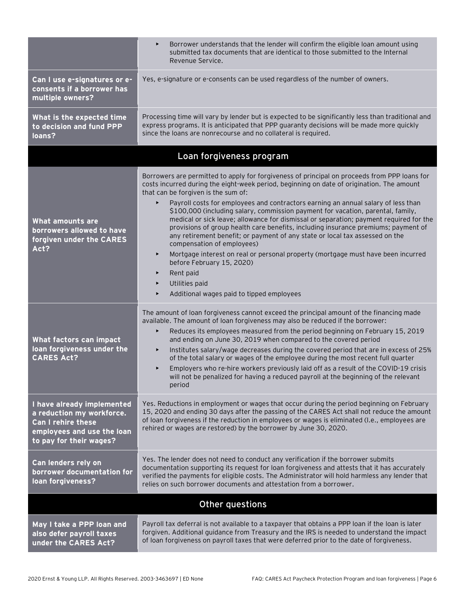|                                                                                                                                               | Borrower understands that the lender will confirm the eligible loan amount using<br>submitted tax documents that are identical to those submitted to the Internal<br>Revenue Service.                                                                                                                                                                                                                                                                                                                                                                                                                                                                                                                                                                                                                                                                                                                                                                                                                                            |  |
|-----------------------------------------------------------------------------------------------------------------------------------------------|----------------------------------------------------------------------------------------------------------------------------------------------------------------------------------------------------------------------------------------------------------------------------------------------------------------------------------------------------------------------------------------------------------------------------------------------------------------------------------------------------------------------------------------------------------------------------------------------------------------------------------------------------------------------------------------------------------------------------------------------------------------------------------------------------------------------------------------------------------------------------------------------------------------------------------------------------------------------------------------------------------------------------------|--|
| Can I use e-signatures or e-<br>consents if a borrower has<br>multiple owners?                                                                | Yes, e-signature or e-consents can be used regardless of the number of owners.                                                                                                                                                                                                                                                                                                                                                                                                                                                                                                                                                                                                                                                                                                                                                                                                                                                                                                                                                   |  |
| What is the expected time<br>to decision and fund PPP<br>loans?                                                                               | Processing time will vary by lender but is expected to be significantly less than traditional and<br>express programs. It is anticipated that PPP guaranty decisions will be made more quickly<br>since the loans are nonrecourse and no collateral is required.                                                                                                                                                                                                                                                                                                                                                                                                                                                                                                                                                                                                                                                                                                                                                                 |  |
|                                                                                                                                               | Loan forgiveness program                                                                                                                                                                                                                                                                                                                                                                                                                                                                                                                                                                                                                                                                                                                                                                                                                                                                                                                                                                                                         |  |
| What amounts are<br>borrowers allowed to have<br>forgiven under the CARES<br>Act?                                                             | Borrowers are permitted to apply for forgiveness of principal on proceeds from PPP loans for<br>costs incurred during the eight-week period, beginning on date of origination. The amount<br>that can be forgiven is the sum of:<br>Payroll costs for employees and contractors earning an annual salary of less than<br>$\blacktriangleright$<br>\$100,000 (including salary, commission payment for vacation, parental, family,<br>medical or sick leave; allowance for dismissal or separation; payment required for the<br>provisions of group health care benefits, including insurance premiums; payment of<br>any retirement benefit; or payment of any state or local tax assessed on the<br>compensation of employees)<br>Mortgage interest on real or personal property (mortgage must have been incurred<br>$\blacktriangleright$<br>before February 15, 2020)<br>Rent paid<br>$\blacktriangleright$<br>Utilities paid<br>$\blacktriangleright$<br>Additional wages paid to tipped employees<br>$\blacktriangleright$ |  |
| What factors can impact<br>loan forgiveness under the<br><b>CARES Act?</b>                                                                    | The amount of loan forgiveness cannot exceed the principal amount of the financing made<br>available. The amount of loan forgiveness may also be reduced if the borrower:<br>Reduces its employees measured from the period beginning on February 15, 2019<br>and ending on June 30, 2019 when compared to the covered period<br>Institutes salary/wage decreases during the covered period that are in excess of 25%<br>$\blacktriangleright$<br>of the total salary or wages of the employee during the most recent full quarter<br>Employers who re-hire workers previously laid off as a result of the COVID-19 crisis<br>will not be penalized for having a reduced payroll at the beginning of the relevant<br>period                                                                                                                                                                                                                                                                                                      |  |
| I have already implemented<br>a reduction my workforce.<br><b>Can I rehire these</b><br>employees and use the loan<br>to pay for their wages? | Yes. Reductions in employment or wages that occur during the period beginning on February<br>15, 2020 and ending 30 days after the passing of the CARES Act shall not reduce the amount<br>of loan forgiveness if the reduction in employees or wages is eliminated (I.e., employees are<br>rehired or wages are restored) by the borrower by June 30, 2020.                                                                                                                                                                                                                                                                                                                                                                                                                                                                                                                                                                                                                                                                     |  |
| Can lenders rely on<br>borrower documentation for<br>loan forgiveness?                                                                        | Yes. The lender does not need to conduct any verification if the borrower submits<br>documentation supporting its request for loan forgiveness and attests that it has accurately<br>verified the payments for eligible costs. The Administrator will hold harmless any lender that<br>relies on such borrower documents and attestation from a borrower.                                                                                                                                                                                                                                                                                                                                                                                                                                                                                                                                                                                                                                                                        |  |
| Other questions                                                                                                                               |                                                                                                                                                                                                                                                                                                                                                                                                                                                                                                                                                                                                                                                                                                                                                                                                                                                                                                                                                                                                                                  |  |
| May I take a PPP loan and<br>also defer payroll taxes<br>under the CARES Act?                                                                 | Payroll tax deferral is not available to a taxpayer that obtains a PPP loan if the loan is later<br>forgiven. Additional guidance from Treasury and the IRS is needed to understand the impact<br>of loan forgiveness on payroll taxes that were deferred prior to the date of forgiveness.                                                                                                                                                                                                                                                                                                                                                                                                                                                                                                                                                                                                                                                                                                                                      |  |